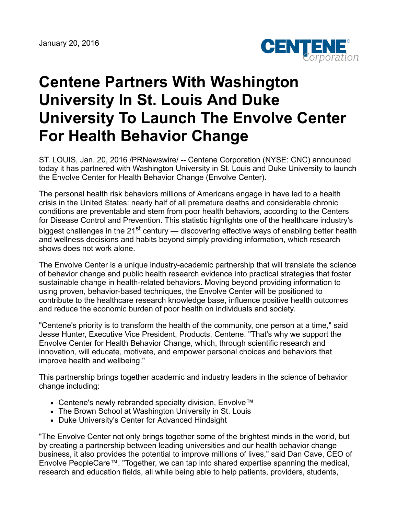

## **Centene Partners With Washington University In St. Louis And Duke University To Launch The Envolve Center For Health Behavior Change**

ST. LOUIS, Jan. 20, 2016 /PRNewswire/ -- Centene Corporation (NYSE: CNC) announced today it has partnered with Washington University in St. Louis and Duke University to launch the Envolve Center for Health Behavior Change (Envolve Center).

The personal health risk behaviors millions of Americans engage in have led to a health crisis in the United States: nearly half of all premature deaths and considerable chronic conditions are preventable and stem from poor health behaviors, according to the Centers for Disease Control and Prevention. This statistic highlights one of the healthcare industry's biggest challenges in the 21<sup>st</sup> century — discovering effective ways of enabling better health and wellness decisions and habits beyond simply providing information, which research shows does not work alone.

The Envolve Center is a unique industry-academic partnership that will translate the science of behavior change and public health research evidence into practical strategies that foster sustainable change in health-related behaviors. Moving beyond providing information to using proven, behavior-based techniques, the Envolve Center will be positioned to contribute to the healthcare research knowledge base, influence positive health outcomes and reduce the economic burden of poor health on individuals and society.

"Centene's priority is to transform the health of the community, one person at a time," said Jesse Hunter, Executive Vice President, Products, Centene. "That's why we support the Envolve Center for Health Behavior Change, which, through scientific research and innovation, will educate, motivate, and empower personal choices and behaviors that improve health and wellbeing."

This partnership brings together academic and industry leaders in the science of behavior change including:

- Centene's newly rebranded specialty division, Envolve™
- The Brown School at Washington University in St. Louis
- Duke University's Center for Advanced Hindsight

"The Envolve Center not only brings together some of the brightest minds in the world, but by creating a partnership between leading universities and our health behavior change business, it also provides the potential to improve millions of lives," said Dan Cave, CEO of Envolve PeopleCare™. "Together, we can tap into shared expertise spanning the medical, research and education fields, all while being able to help patients, providers, students,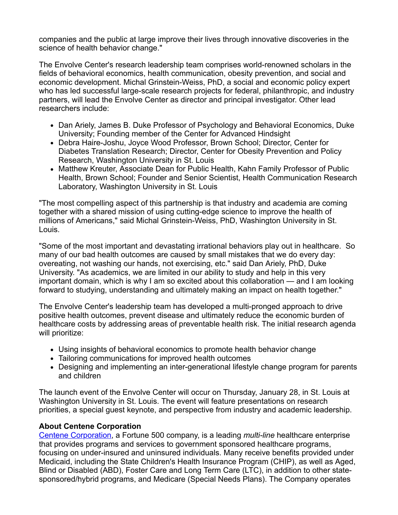companies and the public at large improve their lives through innovative discoveries in the science of health behavior change."

The Envolve Center's research leadership team comprises world-renowned scholars in the fields of behavioral economics, health communication, obesity prevention, and social and economic development. Michal Grinstein-Weiss, PhD, a social and economic policy expert who has led successful large-scale research projects for federal, philanthropic, and industry partners, will lead the Envolve Center as director and principal investigator. Other lead researchers include:

- Dan Ariely, James B. Duke Professor of Psychology and Behavioral Economics, Duke University; Founding member of the Center for Advanced Hindsight
- Debra Haire-Joshu, Joyce Wood Professor, Brown School; Director, Center for Diabetes Translation Research; Director, Center for Obesity Prevention and Policy Research, Washington University in St. Louis
- Matthew Kreuter, Associate Dean for Public Health, Kahn Family Professor of Public Health, Brown School; Founder and Senior Scientist, Health Communication Research Laboratory, Washington University in St. Louis

"The most compelling aspect of this partnership is that industry and academia are coming together with a shared mission of using cutting-edge science to improve the health of millions of Americans," said Michal Grinstein-Weiss, PhD, Washington University in St. Louis.

"Some of the most important and devastating irrational behaviors play out in healthcare. So many of our bad health outcomes are caused by small mistakes that we do every day: overeating, not washing our hands, not exercising, etc." said Dan Ariely, PhD, Duke University. "As academics, we are limited in our ability to study and help in this very important domain, which is why I am so excited about this collaboration — and I am looking forward to studying, understanding and ultimately making an impact on health together."

The Envolve Center's leadership team has developed a multi-pronged approach to drive positive health outcomes, prevent disease and ultimately reduce the economic burden of healthcare costs by addressing areas of preventable health risk. The initial research agenda will prioritize:

- Using insights of behavioral economics to promote health behavior change
- Tailoring communications for improved health outcomes
- Designing and implementing an inter-generational lifestyle change program for parents and children

The launch event of the Envolve Center will occur on Thursday, January 28, in St. Louis at Washington University in St. Louis. The event will feature presentations on research priorities, a special guest keynote, and perspective from industry and academic leadership.

## **About Centene Corporation**

[Centene Corporation,](http://www.centene.com/) a Fortune 500 company, is a leading *multi-line* healthcare enterprise that provides programs and services to government sponsored healthcare programs, focusing on under-insured and uninsured individuals. Many receive benefits provided under Medicaid, including the State Children's Health Insurance Program (CHIP), as well as Aged, Blind or Disabled (ABD), Foster Care and Long Term Care (LTC), in addition to other statesponsored/hybrid programs, and Medicare (Special Needs Plans). The Company operates